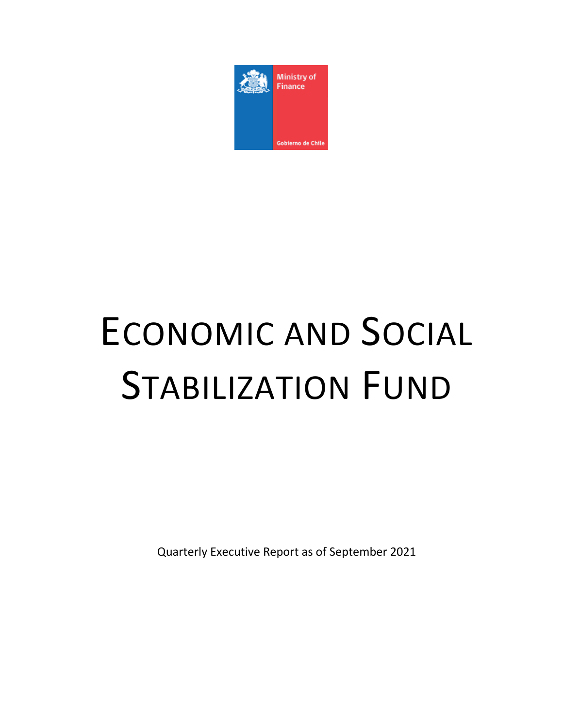

# ECONOMIC AND SOCIAL STABILIZATION FUND

Quarterly Executive Report as of September 2021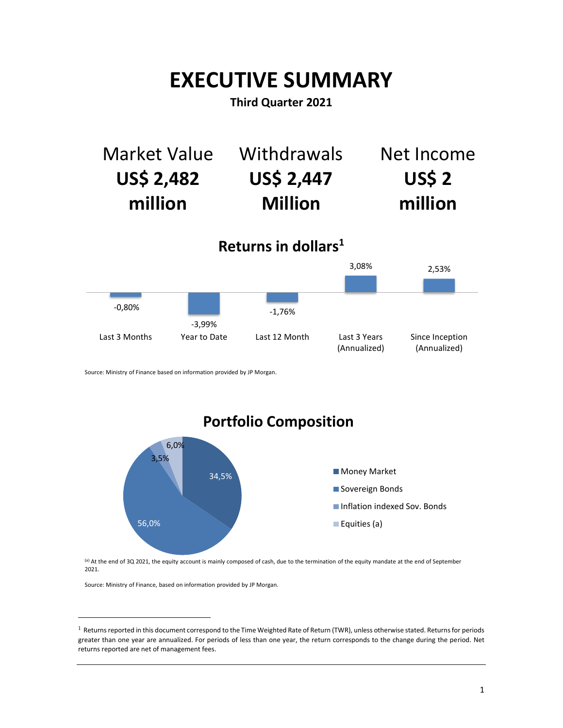## **EXECUTIVE SUMMARY**

## **Third Quarter 2021**



Source: Ministry of Finance based on information provided by JP Morgan.

34,5% 56,0% 3,5% 6,0% **Portfolio Composition Money Market** Sovereign Bonds **Inflation indexed Sov. Bonds Equities (a)** 

(a) At the end of 3Q 2021, the equity account is mainly composed of cash, due to the termination of the equity mandate at the end of September 2021.

Source: Ministry of Finance, based on information provided by JP Morgan.

 $\overline{a}$ 

 $1$  Returns reported in this document correspond to the Time Weighted Rate of Return (TWR), unless otherwise stated. Returns for periods greater than one year are annualized. For periods of less than one year, the return corresponds to the change during the period. Net returns reported are net of management fees.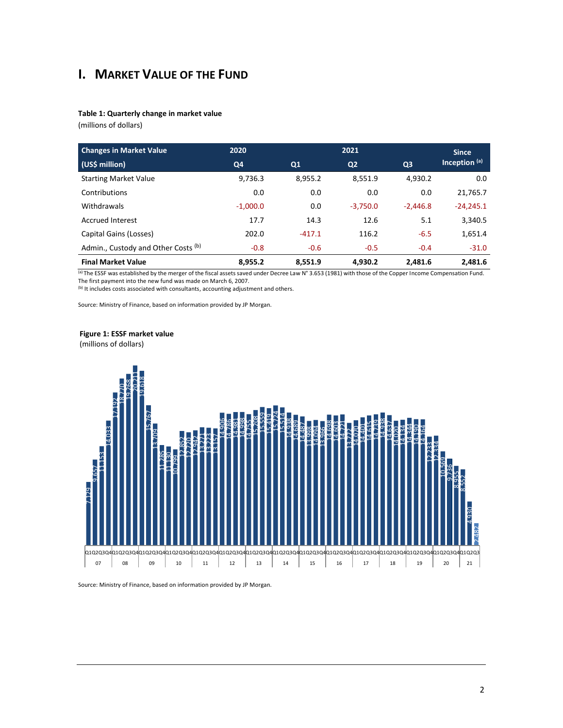## **I. MARKET VALUE OF THE FUND**

#### **Table 1: Quarterly change in market value**

(millions of dollars)

| <b>Changes in Market Value</b>      | 2020       |          | 2021           |                |               |  |
|-------------------------------------|------------|----------|----------------|----------------|---------------|--|
| (US\$ million)                      | Q4         | Q1       | Q <sub>2</sub> | Q <sub>3</sub> | Inception (a) |  |
| <b>Starting Market Value</b>        | 9,736.3    | 8,955.2  | 8,551.9        | 4,930.2        | 0.0           |  |
| Contributions                       | 0.0        | 0.0      | 0.0            | 0.0            | 21,765.7      |  |
| Withdrawals                         | $-1.000.0$ | 0.0      | $-3,750.0$     | $-2.446.8$     | $-24.245.1$   |  |
| <b>Accrued Interest</b>             | 17.7       | 14.3     | 12.6           | 5.1            | 3,340.5       |  |
| Capital Gains (Losses)              | 202.0      | $-417.1$ | 116.2          | $-6.5$         | 1,651.4       |  |
| Admin., Custody and Other Costs (b) | $-0.8$     | $-0.6$   | $-0.5$         | $-0.4$         | $-31.0$       |  |
| <b>Final Market Value</b>           | 8,955.2    | 8.551.9  | 4,930.2        | 2.481.6        | 2.481.6       |  |

(a) The ESSF was established by the merger of the fiscal assets saved under Decree Law N° 3.653 (1981) with those of the Copper Income Compensation Fund. The first payment into the new fund was made on March 6, 2007.

(b) It includes costs associated with consultants, accounting adjustment and others.

Source: Ministry of Finance, based on information provided by JP Morgan.

#### **Figure 1: ESSF market value**

(millions of dollars)

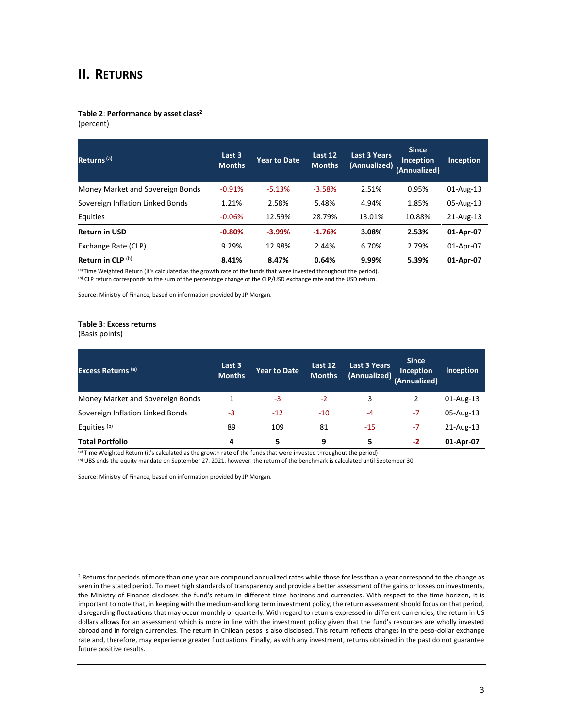#### **II. RETURNS**

### **Table 2**: **Performance by asset class<sup>2</sup>**

(percent)

| Returns <sup>(a)</sup>           | Last 3<br><b>Months</b> | <b>Year to Date</b> | Last 12<br><b>Months</b> | Last 3 Years<br>(Annualized) | <b>Since</b><br>Inception<br>(Annualized) | <b>Inception</b> |
|----------------------------------|-------------------------|---------------------|--------------------------|------------------------------|-------------------------------------------|------------------|
| Money Market and Sovereign Bonds | $-0.91%$                | $-5.13%$            | $-3.58%$                 | 2.51%                        | 0.95%                                     | 01-Aug-13        |
| Sovereign Inflation Linked Bonds | 1.21%                   | 2.58%               | 5.48%                    | 4.94%                        | 1.85%                                     | 05-Aug-13        |
| Equities                         | $-0.06%$                | 12.59%              | 28.79%                   | 13.01%                       | 10.88%                                    | 21-Aug-13        |
| <b>Return in USD</b>             | $-0.80%$                | $-3.99%$            | $-1.76%$                 | 3.08%                        | 2.53%                                     | 01-Apr-07        |
| Exchange Rate (CLP)              | 9.29%                   | 12.98%              | 2.44%                    | 6.70%                        | 2.79%                                     | 01-Apr-07        |
| Return in CLP (b)                | 8.41%                   | 8.47%               | 0.64%                    | 9.99%                        | 5.39%                                     | 01-Apr-07        |

(a) Time Weighted Return (it's calculated as the growth rate of the funds that were invested throughout the period). (b) CLP return corresponds to the sum of the percentage change of the CLP/USD exchange rate and the USD return.

Source: Ministry of Finance, based on information provided by JP Morgan.

#### **Table 3**: **Excess returns**

(Basis points)

 $\overline{a}$ 

| <b>Excess Returns (a)</b>        | Last 3<br><b>Months</b> | <b>Year to Date</b> | Last 12<br><b>Months</b> | <b>Last 3 Years</b><br>(Annualized) | <b>Since</b><br>Inception<br>(Annualized) | <b>Inception</b> |
|----------------------------------|-------------------------|---------------------|--------------------------|-------------------------------------|-------------------------------------------|------------------|
| Money Market and Sovereign Bonds |                         | -3                  | $-2$                     | 3                                   | 2                                         | 01-Aug-13        |
| Sovereign Inflation Linked Bonds | -3                      | $-12$               | $-10$                    | $-4$                                | $-7$                                      | 05-Aug-13        |
| Equities (b)                     | 89                      | 109                 | 81                       | -15                                 | $-7$                                      | 21-Aug-13        |
| <b>Total Portfolio</b>           | 4                       | 5                   | 9                        | 5                                   | $-2$                                      | 01-Apr-07        |

(a) Time Weighted Return (it's calculated as the growth rate of the funds that were invested throughout the period)

(b) UBS ends the equity mandate on September 27, 2021, however, the return of the benchmark is calculated until September 30.

Source: Ministry of Finance, based on information provided by JP Morgan.

<sup>&</sup>lt;sup>2</sup> Returns for periods of more than one year are compound annualized rates while those for less than a year correspond to the change as seen in the stated period. To meet high standards of transparency and provide a better assessment of the gains or losses on investments, the Ministry of Finance discloses the fund's return in different time horizons and currencies. With respect to the time horizon, it is important to note that, in keeping with the medium-and long term investment policy, the return assessment should focus on that period, disregarding fluctuations that may occur monthly or quarterly. With regard to returns expressed in different currencies, the return in US dollars allows for an assessment which is more in line with the investment policy given that the fund's resources are wholly invested abroad and in foreign currencies. The return in Chilean pesos is also disclosed. This return reflects changes in the peso-dollar exchange rate and, therefore, may experience greater fluctuations. Finally, as with any investment, returns obtained in the past do not guarantee future positive results.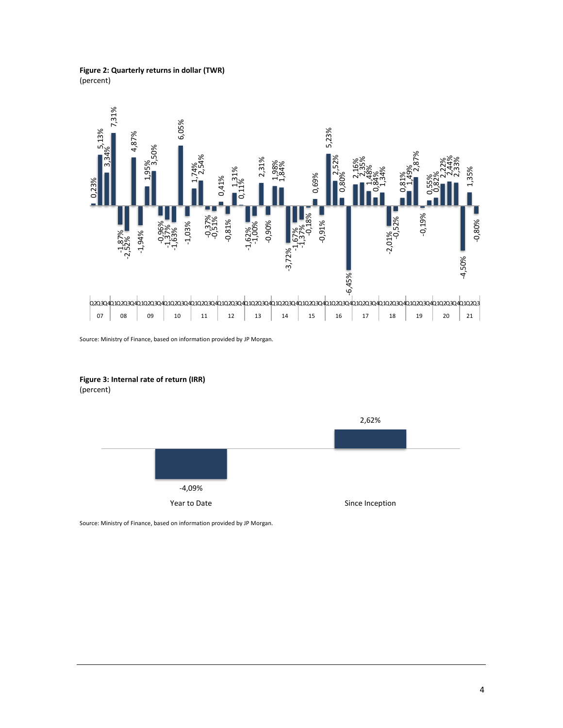**Figure 2: Quarterly returns in dollar (TWR)** (percent)



Source: Ministry of Finance, based on information provided by JP Morgan.



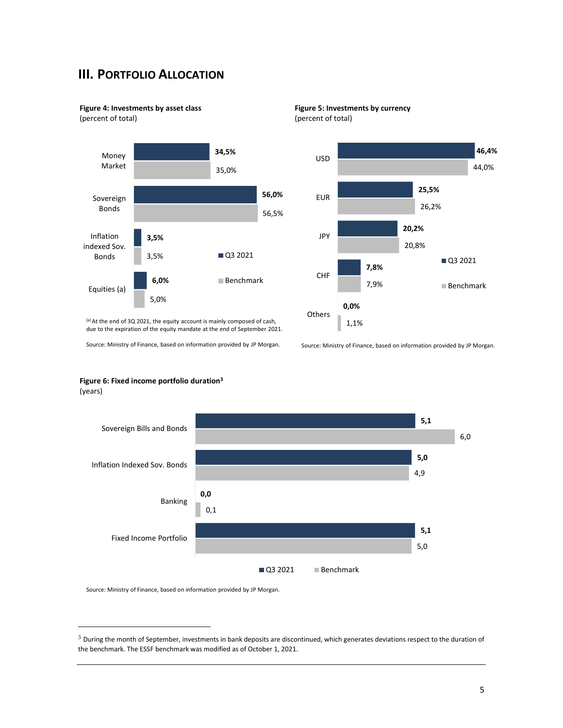## **III. PORTFOLIO ALLOCATION**

**Figure 4: Investments by asset class**

(percent of total)



**Figure 5: Investments by currency** (percent of total)



(a) At the end of 3Q 2021, the equity account is mainly composed of cash, due to the expiration of the equity mandate at the end of September 2021.

Source: Ministry of Finance, based on information provided by JP Morgan.

Source: Ministry of Finance, based on information provided by JP Morgan.





Source: Ministry of Finance, based on information provided by JP Morgan.

 $\overline{a}$ 

 $3$  During the month of September, investments in bank deposits are discontinued, which generates deviations respect to the duration of the benchmark. The ESSF benchmark was modified as of October 1, 2021.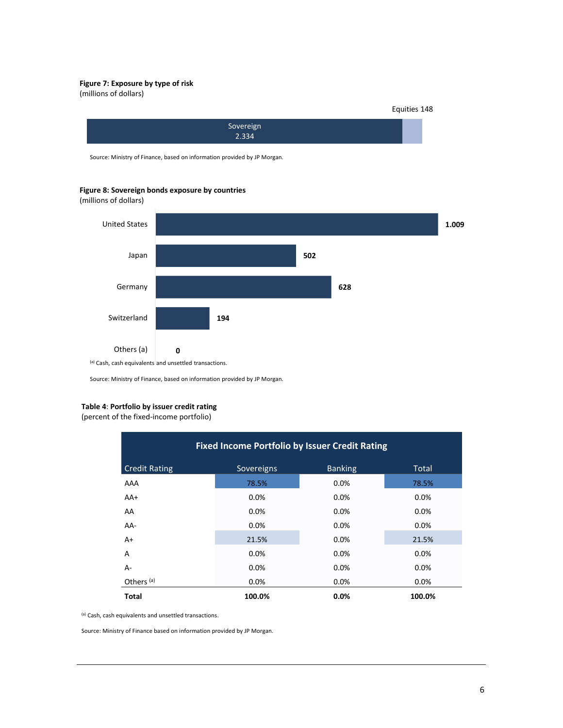#### **Figure 7: Exposure by type of risk**

(millions of dollars)

Equities 148



Source: Ministry of Finance, based on information provided by JP Morgan.

**Figure 8: Sovereign bonds exposure by countries**

(millions of dollars)



Source: Ministry of Finance, based on information provided by JP Morgan.

#### **Table 4**: **Portfolio by issuer credit rating**

(percent of the fixed-income portfolio)

| <b>Fixed Income Portfolio by Issuer Credit Rating</b> |            |                |              |  |  |
|-------------------------------------------------------|------------|----------------|--------------|--|--|
| <b>Credit Rating</b>                                  | Sovereigns | <b>Banking</b> | <b>Total</b> |  |  |
| AAA                                                   | 78.5%      | 0.0%           | 78.5%        |  |  |
| AA+                                                   | 0.0%       | 0.0%           | 0.0%         |  |  |
| AA                                                    | 0.0%       | 0.0%           | 0.0%         |  |  |
| AA-                                                   | 0.0%       | 0.0%           | 0.0%         |  |  |
| $A+$                                                  | 21.5%      | 0.0%           | 21.5%        |  |  |
| A                                                     | 0.0%       | 0.0%           | 0.0%         |  |  |
| A-                                                    | 0.0%       | 0.0%           | 0.0%         |  |  |
| Others <sup>(a)</sup>                                 | 0.0%       | 0.0%           | 0.0%         |  |  |
| <b>Total</b>                                          | 100.0%     | 0.0%           | 100.0%       |  |  |

(a) Cash, cash equivalents and unsettled transactions.

Source: Ministry of Finance based on information provided by JP Morgan.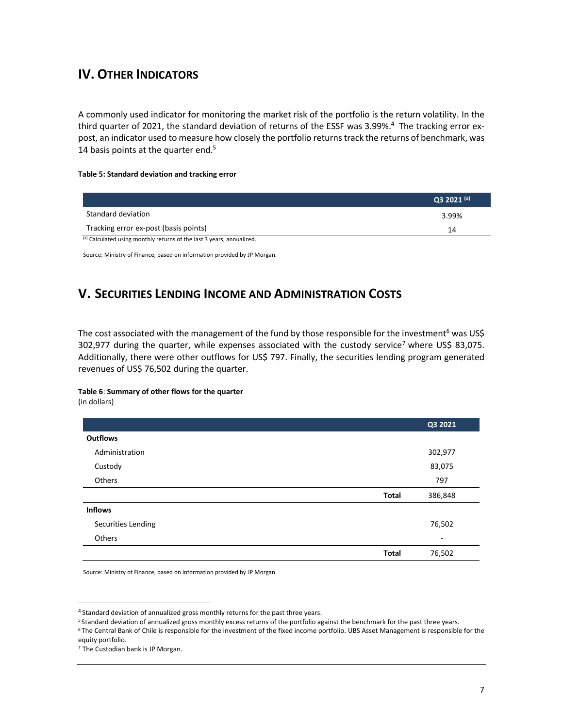## **IV. OTHER INDICATORS**

A commonly used indicator for monitoring the market risk of the portfolio is the return volatility. In the third quarter of 2021, the standard deviation of returns of the ESSF was 3.99%. <sup>4</sup> The tracking error expost, an indicator used to measure how closely the portfolio returns track the returns of benchmark, was 14 basis points at the quarter end.<sup>5</sup>

#### **Table 5: Standard deviation and tracking error**

|                                                                       | $Q3 2021$ (a) |
|-----------------------------------------------------------------------|---------------|
| Standard deviation                                                    | 3.99%         |
| Tracking error ex-post (basis points)                                 | 14            |
| (a) Calculated using monthly returns of the last 3 years, annualized. |               |

Source: Ministry of Finance, based on information provided by JP Morgan.

## **V. SECURITIES LENDING INCOME AND ADMINISTRATION COSTS**

The cost associated with the management of the fund by those responsible for the investment<sup>6</sup> was US\$ 302,977 during the quarter, while expenses associated with the custody service<sup>7</sup> where US\$ 83,075. Additionally, there were other outflows for US\$ 797. Finally, the securities lending program generated revenues of US\$ 76,502 during the quarter.

#### **Table 6**: **Summary of other flows for the quarter**

(in dollars)

 $\overline{a}$ 

|                    |              | Q3 2021 |
|--------------------|--------------|---------|
| <b>Outflows</b>    |              |         |
| Administration     |              | 302,977 |
| Custody            |              | 83,075  |
| Others             |              | 797     |
|                    | <b>Total</b> | 386,848 |
| <b>Inflows</b>     |              |         |
| Securities Lending |              | 76,502  |
| Others             |              | ٠       |
|                    | <b>Total</b> | 76,502  |

Source: Ministry of Finance, based on information provided by JP Morgan.

<sup>&</sup>lt;sup>4</sup> Standard deviation of annualized gross monthly returns for the past three years.

<sup>5</sup> Standard deviation of annualized gross monthly excess returns of the portfolio against the benchmark for the past three years.

<sup>6</sup> The Central Bank of Chile is responsible for the investment of the fixed income portfolio. UBS Asset Management is responsible for the equity portfolio.

<sup>7</sup> The Custodian bank is JP Morgan.